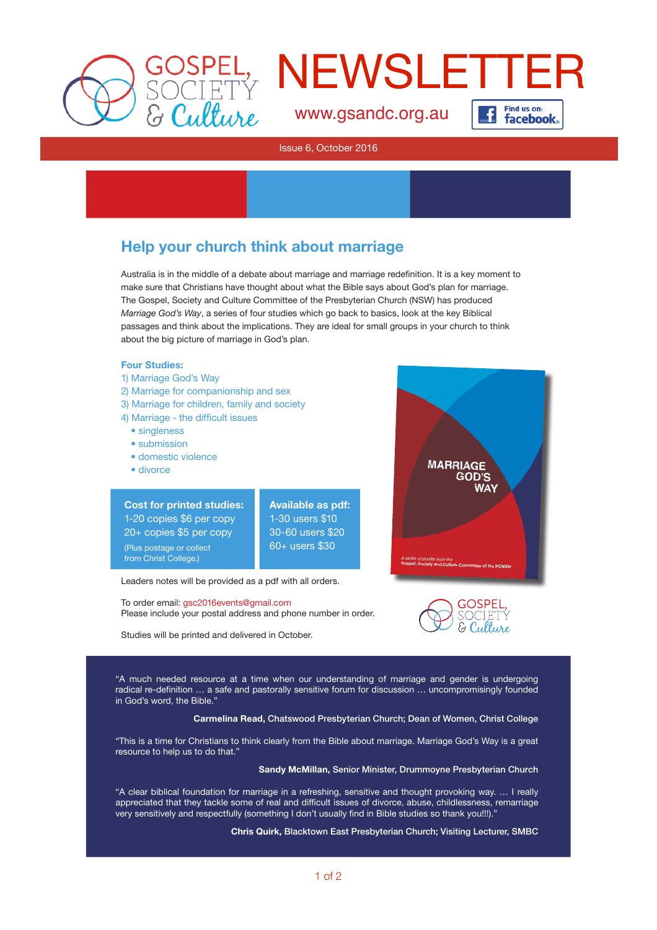



**facebook**.

[www.gsandc.org.au](http://www.gsandc.org.au)

### Issue 6, October 2016

## Help your church think about marriage

Australia is in the middle of a debate about marriage and marriage redefinition. It is a key moment to make sure that Christians have thought about what the Bible says about God's plan for marriage. The Gospel, Society and Culture Committee of the Presbyterian Church (NSW) has produced *Marriage God's Way*, a series of four studies which go back to basics, look at the key Biblical passages and think about the implications. They are ideal for small groups in your church to think about the big picture of marriage in God's plan.

## Four Studies:

- 1) Marriage God's Way
- 2) Marriage for companionship and sex
- 3) Marriage for children, family and society
- 4) Marriage the difficult issues
	- singleness
	- submission
	- domestic violence

Cost for printed studies: 1-20 copies \$6 per copy 20+ copies \$5 per copy (Plus postage or collect from Christ College.)

• divorce

Available as pdf: 1-30 users \$10 30-60 users \$20 60+ users \$30

Leaders notes will be provided as a pdf with all orders.

To order email: gsc2016events@gmail.com Please include your postal address and phone number in order.

Studies will be printed and delivered in October.





"A much needed resource at a time when our understanding of marriage and gender is undergoing radical re-defnition … a safe and pastorally sensitive forum for discussion … uncompromisingly founded in God's word, the Bible."

Carmelina Read, Chatswood Presbyterian Church; Dean of Women, Christ College

"This is a time for Christians to think clearly from the Bible about marriage. Marriage God's Way is a great resource to help us to do that."

Sandy McMillan, Senior Minister, Drummoyne Presbyterian Church

"A clear biblical foundation for marriage in a refreshing, sensitive and thought provoking way. … I really appreciated that they tackle some of real and difficult issues of divorce, abuse, childlessness, remarriage very sensitively and respectfully (something I don't usually find in Bible studies so thank you!!!).'

Chris Quirk, Blacktown East Presbyterian Church; Visiting Lecturer, SMBC